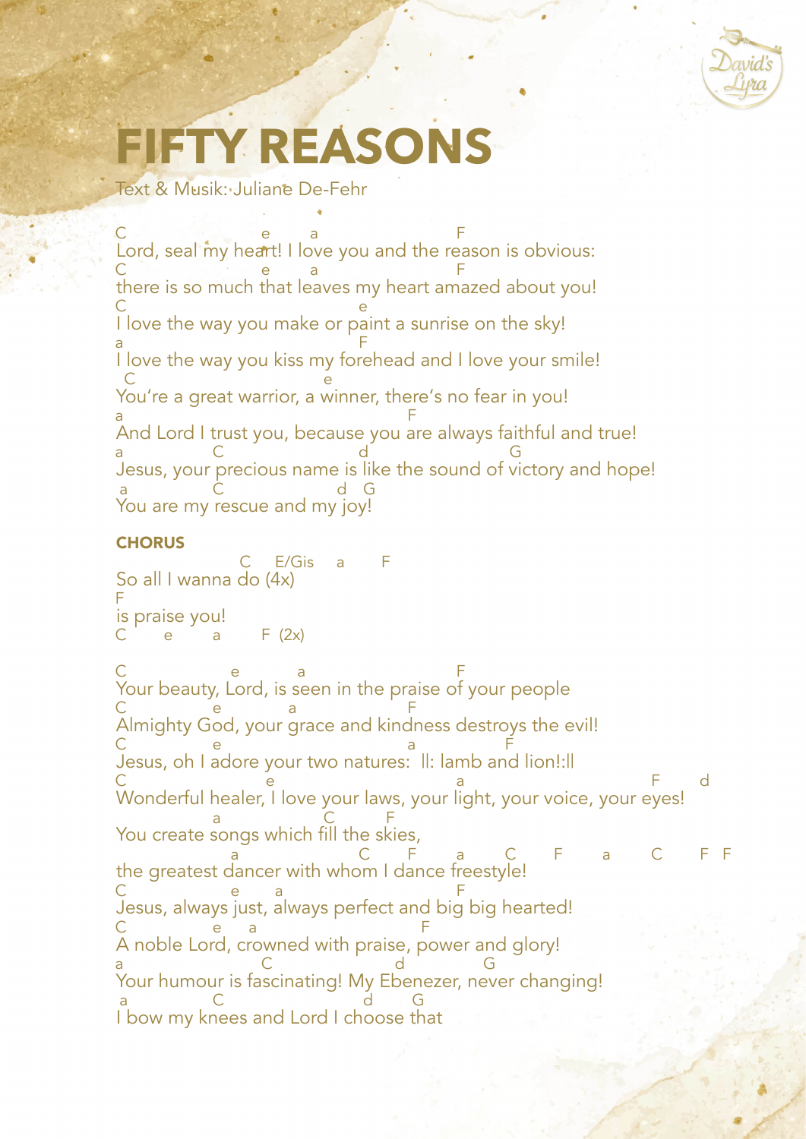

## **FIY REASON**

Text & Musik: Juliane De-Fehr

Lord, seal my heart! I love you and the reason is obvious: there is so much that leaves my heart amazed about you! I love the way you make or paint a sunrise on the sky! I love the way you kiss my forehead and I love your smile! You're a great warrior, a winner, there's no fear in you! And Lord I trust you, because you are always faithful and true! Jesus, your precious name is like the sound of victory and hope! You are my rescue and my joy! C e a F C e a F C e a F C e a Francisco de la constantidad de la constantidad de la constantidad de la constantidad de la constantidad de a C d G a C d G

## **CHORUS**

So all I wanna do (4x) is praise you! Your beauty, Lord, is seen in the praise of your people Almighty God, your grace and kindness destroys the evil! Jesus, oh I adore your two natures: ||: lamb and lion!:|| Wonderful healer, I love your laws, your light, your voice, your eyes! You create songs which fill the skies, the greatest dancer with whom I dance freestyle! Jesus, always just, always perfect and big big hearted! A noble Lord, crowned with praise, power and glory! Your humour is fascinating! My Ebenezer, never changing! I bow my knees and Lord I choose that C E/Gis a F F  $F (2x)$ C e a F C e a F C e a F C e e a F d a C F a C F a C F a C F F C e a F C e a F a C d G a C d G